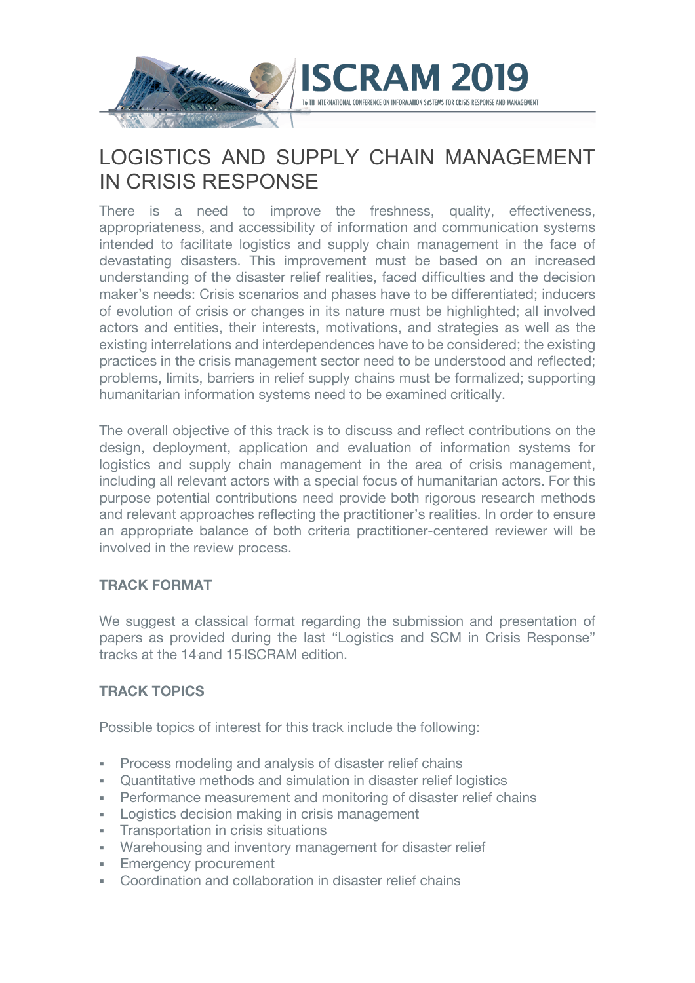

# LOGISTICS AND SUPPLY CHAIN MANAGEMENT IN CRISIS RESPONSE

There is a need to improve the freshness, quality, effectiveness, appropriateness, and accessibility of information and communication systems intended to facilitate logistics and supply chain management in the face of devastating disasters. This improvement must be based on an increased understanding of the disaster relief realities, faced difficulties and the decision maker's needs: Crisis scenarios and phases have to be differentiated; inducers of evolution of crisis or changes in its nature must be highlighted; all involved actors and entities, their interests, motivations, and strategies as well as the existing interrelations and interdependences have to be considered; the existing practices in the crisis management sector need to be understood and reflected; problems, limits, barriers in relief supply chains must be formalized; supporting humanitarian information systems need to be examined critically.

The overall objective of this track is to discuss and reflect contributions on the design, deployment, application and evaluation of information systems for logistics and supply chain management in the area of crisis management, including all relevant actors with a special focus of humanitarian actors. For this purpose potential contributions need provide both rigorous research methods and relevant approaches reflecting the practitioner's realities. In order to ensure an appropriate balance of both criteria practitioner-centered reviewer will be involved in the review process.

## **TRACK FORMAT**

We suggest a classical format regarding the submission and presentation of papers as provided during the last "Logistics and SCM in Crisis Response" tracks at the 14 and 15 ISCRAM edition.

## **TRACK TOPICS**

Possible topics of interest for this track include the following:

- § Process modeling and analysis of disaster relief chains
- § Quantitative methods and simulation in disaster relief logistics
- Performance measurement and monitoring of disaster relief chains
- Logistics decision making in crisis management
- Transportation in crisis situations
- Warehousing and inventory management for disaster relief
- **Emergency procurement**
- § Coordination and collaboration in disaster relief chains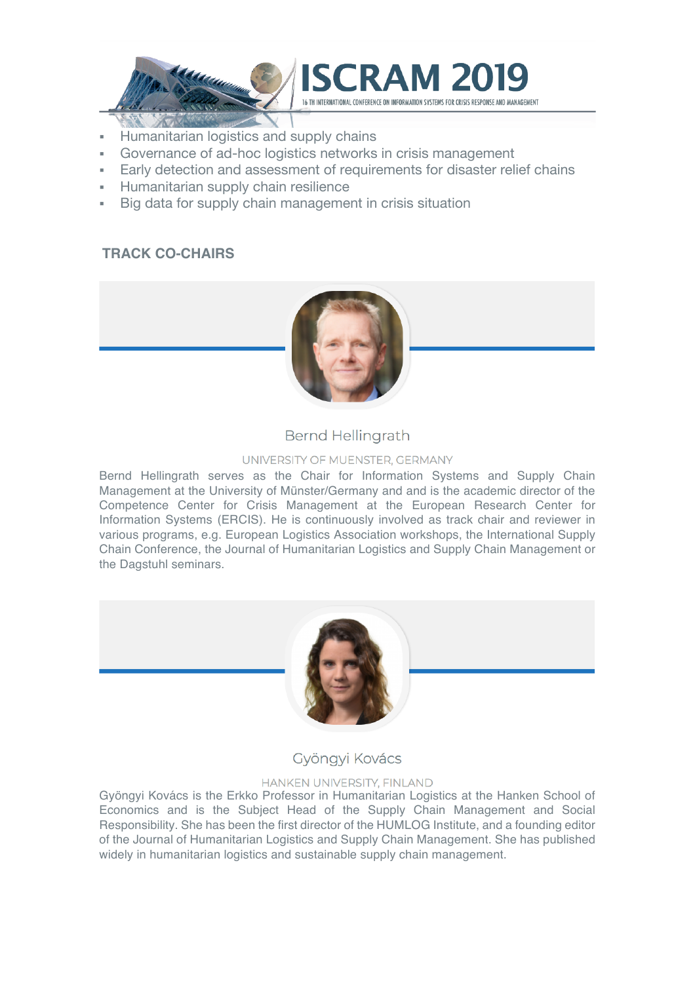

- § Humanitarian logistics and supply chains
- § Governance of ad-hoc logistics networks in crisis management
- Early detection and assessment of requirements for disaster relief chains
- § Humanitarian supply chain resilience
- Big data for supply chain management in crisis situation

## **TRACK CO-CHAIRS**



## **Bernd Hellingrath**

#### UNIVERSITY OF MUENSTER, GERMANY

Bernd Hellingrath serves as the Chair for Information Systems and Supply Chain Management at the University of Münster/Germany and and is the academic director of the Competence Center for Crisis Management at the European Research Center for Information Systems (ERCIS). He is continuously involved as track chair and reviewer in various programs, e.g. European Logistics Association workshops, the International Supply Chain Conference, the Journal of Humanitarian Logistics and Supply Chain Management or the Dagstuhl seminars.



## Gyöngyi Kovács

#### HANKEN UNIVERSITY, FINLAND

Gyöngyi Kovács is the Erkko Professor in Humanitarian Logistics at the Hanken School of Economics and is the Subject Head of the Supply Chain Management and Social Responsibility. She has been the first director of the HUMLOG Institute, and a founding editor of the Journal of Humanitarian Logistics and Supply Chain Management. She has published widely in humanitarian logistics and sustainable supply chain management.